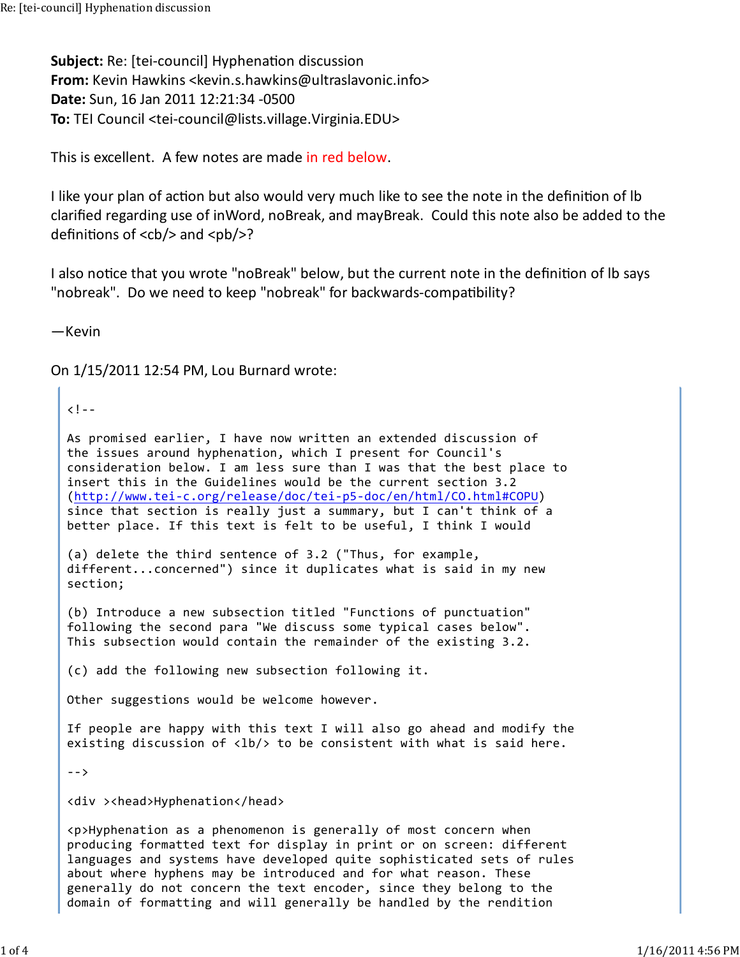**Subject:** Re: [tei-council] Hyphenation discussion **From:** Kevin Hawkins <kevin.s.hawkins@ultraslavonic.info> **Date:** Sun, 16 Jan 2011 12:21:34 -0500 **To:** TEI Council <tei-council@lists.village.Virginia.EDU>

This is excellent. A few notes are made in red below.

I like your plan of action but also would very much like to see the note in the definition of Ib clarified regarding use of inWord, noBreak, and mayBreak. Could this note also be added to the definitions of  $<$ cb/ $>$  and  $<$ pb/ $>$ ?

I also notice that you wrote "noBreak" below, but the current note in the definition of Ib says "nobreak". Do we need to keep "nobreak" for backwards-compatibility?

—Kevin

On 1/15/2011 12:54 PM, Lou Burnard wrote:

## $\langle$ ! - -

As promised earlier, I have now written an extended discussion of the issues around hyphenation, which I present for Council's consideration below. I am less sure than I was that the best place to insert this in the Guidelines would be the current section 3.2 (http://www.tei-c.org/release/doc/tei-p5-doc/en/html/CO.html#COPU) since that section is really just a summary, but I can't think of a better place. If this text is felt to be useful, I think I would

(a) delete the third sentence of 3.2 ("Thus, for example, different...concerned") since it duplicates what is said in my new section;

(b) Introduce a new subsection titled "Functions of punctuation" following the second para "We discuss some typical cases below". This subsection would contain the remainder of the existing 3.2.

(c) add the following new subsection following it.

Other suggestions would be welcome however.

If people are happy with this text I will also go ahead and modify the existing discussion of  $\langle lb/$  to be consistent with what is said here.

-->

<div ><head>Hyphenation</head>

<p>Hyphenation as a phenomenon is generally of most concern when producing formatted text for display in print or on screen: different languages and systems have developed quite sophisticated sets of rules about where hyphens may be introduced and for what reason. These generally do not concern the text encoder, since they belong to the domain of formatting and will generally be handled by the rendition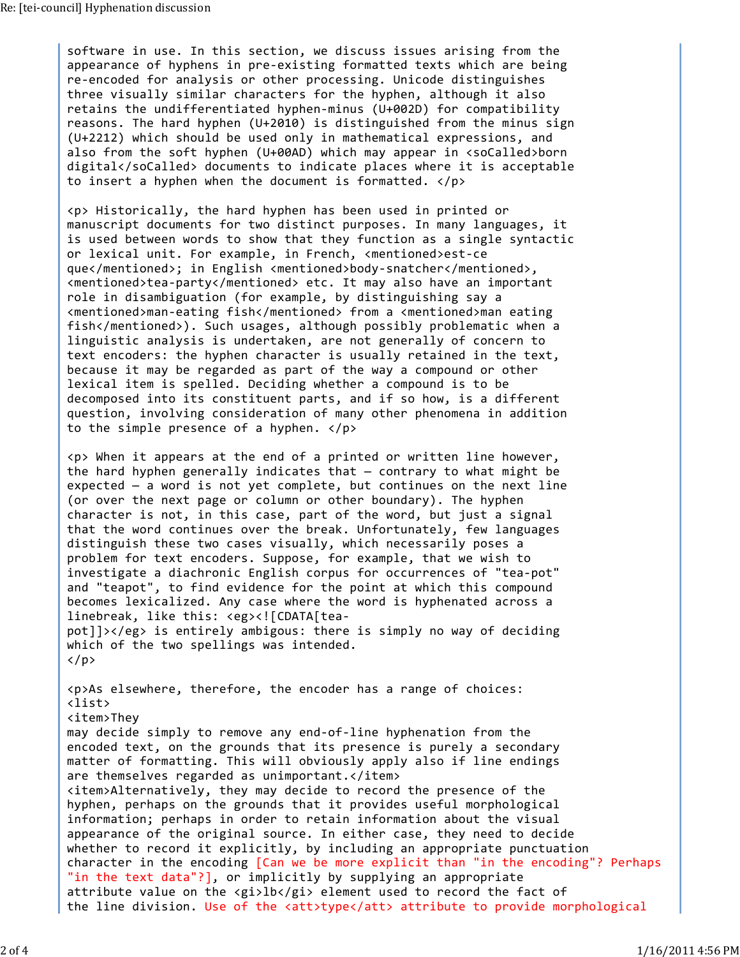software in use. In this section, we discuss issues arising from the appearance of hyphens in pre-existing formatted texts which are being re-encoded for analysis or other processing. Unicode distinguishes three visually similar characters for the hyphen, although it also retains the undifferentiated hyphen-minus (U+002D) for compatibility reasons. The hard hyphen (U+2010) is distinguished from the minus sign (U+2212) which should be used only in mathematical expressions, and also from the soft hyphen (U+00AD) which may appear in <soCalled>born digital</soCalled> documents to indicate places where it is acceptable to insert a hyphen when the document is formatted.  $\langle p \rangle$ 

<p> Historically, the hard hyphen has been used in printed or manuscript documents for two distinct purposes. In many languages, it is used between words to show that they function as a single syntactic or lexical unit. For example, in French, <mentioned>est-ce que</mentioned>; in English <mentioned>body-snatcher</mentioned>, <mentioned>tea-party</mentioned> etc. It may also have an important role in disambiguation (for example, by distinguishing say a <mentioned>man-eating fish</mentioned> from a <mentioned>man eating fish</mentioned>). Such usages, although possibly problematic when a linguistic analysis is undertaken, are not generally of concern to text encoders: the hyphen character is usually retained in the text, because it may be regarded as part of the way a compound or other lexical item is spelled. Deciding whether a compound is to be decomposed into its constituent parts, and if so how, is a different question, involving consideration of many other phenomena in addition to the simple presence of a hyphen.  $\langle p \rangle$ 

<p> When it appears at the end of a printed or written line however, the hard hyphen generally indicates that — contrary to what might be expected — a word is not yet complete, but continues on the next line (or over the next page or column or other boundary). The hyphen character is not, in this case, part of the word, but just a signal that the word continues over the break. Unfortunately, few languages distinguish these two cases visually, which necessarily poses a problem for text encoders. Suppose, for example, that we wish to investigate a diachronic English corpus for occurrences of "tea-pot" and "teapot", to find evidence for the point at which this compound becomes lexicalized. Any case where the word is hyphenated across a linebreak, like this: <eg><![CDATA[teapot]]></eg> is entirely ambigous: there is simply no way of deciding which of the two spellings was intended.  $\langle$ /p>

<p>As elsewhere, therefore, the encoder has a range of choices: <list> <item>They may decide simply to remove any end-of-line hyphenation from the encoded text, on the grounds that its presence is purely a secondary matter of formatting. This will obviously apply also if line endings are themselves regarded as unimportant.</item> <item>Alternatively, they may decide to record the presence of the hyphen, perhaps on the grounds that it provides useful morphological information; perhaps in order to retain information about the visual appearance of the original source. In either case, they need to decide whether to record it explicitly, by including an appropriate punctuation character in the encoding [Can we be more explicit than "in the encoding"? Perhaps "in the text data"?], or implicitly by supplying an appropriate attribute value on the <gi>lb</gi> element used to record the fact of the line division. Use of the <att>type</att> attribute to provide morphological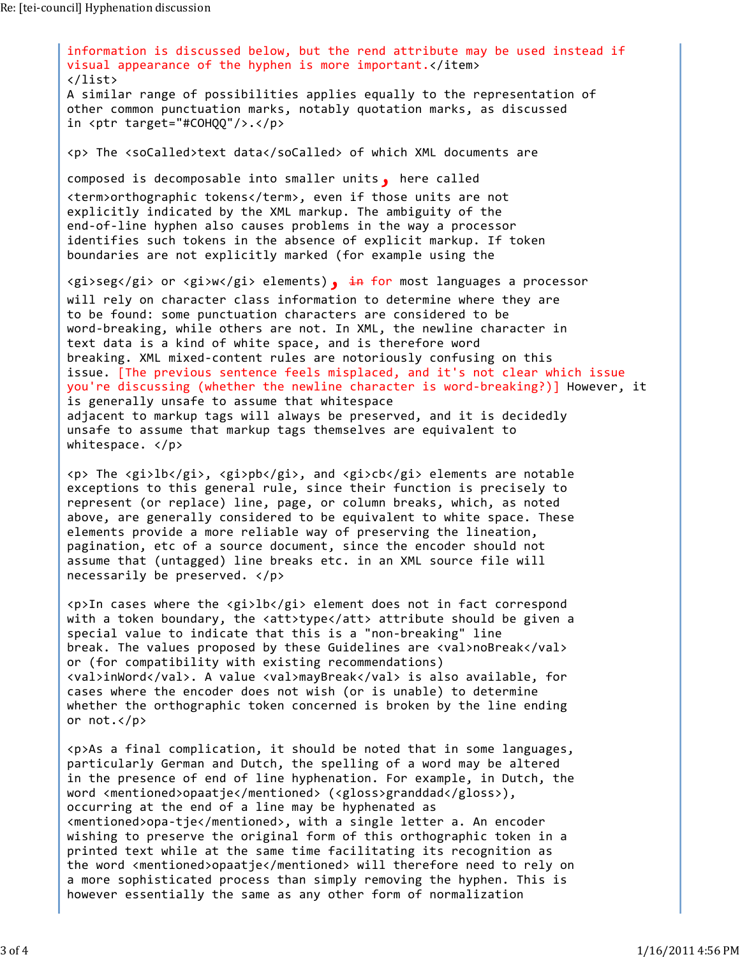information is discussed below, but the rend attribute may be used instead if visual appearance of the hyphen is more important.</item> </list> A similar range of possibilities applies equally to the representation of other common punctuation marks, notably quotation marks, as discussed in <ptr target="#COHQQ"/>.</p> <p> The <soCalled>text data</soCalled> of which XML documents are composed is decomposable into smaller units, here called <term>orthographic tokens</term>, even if those units are not explicitly indicated by the XML markup. The ambiguity of the end-of-line hyphen also causes problems in the way a processor identifies such tokens in the absence of explicit markup. If token boundaries are not explicitly marked (for example using the  $\langle g$ i>seg</gi> or  $\langle g$ i>w</gi> elements), in for most languages a processor will rely on character class information to determine where they are to be found: some punctuation characters are considered to be word-breaking, while others are not. In XML, the newline character in text data is a kind of white space, and is therefore word breaking. XML mixed-content rules are notoriously confusing on this issue. [The previous sentence feels misplaced, and it's not clear which issue you're discussing (whether the newline character is word-breaking?)] However, it is generally unsafe to assume that whitespace adjacent to markup tags will always be preserved, and it is decidedly unsafe to assume that markup tags themselves are equivalent to whitespace. </p> <p> The <gi>lb</gi>, <gi>pb</gi>, and <gi>cb</gi> elements are notable exceptions to this general rule, since their function is precisely to represent (or replace) line, page, or column breaks, which, as noted

above, are generally considered to be equivalent to white space. These elements provide a more reliable way of preserving the lineation, pagination, etc of a source document, since the encoder should not assume that (untagged) line breaks etc. in an XML source file will necessarily be preserved. </p>

<p>In cases where the <gi>lb</gi> element does not in fact correspond with a token boundary, the <att>type</att> attribute should be given a special value to indicate that this is a "non-breaking" line break. The values proposed by these Guidelines are <val>noBreak</val> or (for compatibility with existing recommendations) <val>inWord</val>. A value <val>mayBreak</val> is also available, for cases where the encoder does not wish (or is unable) to determine whether the orthographic token concerned is broken by the line ending or not.</p>

<p>As a final complication, it should be noted that in some languages, particularly German and Dutch, the spelling of a word may be altered in the presence of end of line hyphenation. For example, in Dutch, the word <mentioned>opaatje</mentioned> (<gloss>granddad</gloss>), occurring at the end of a line may be hyphenated as <mentioned>opa-tje</mentioned>, with a single letter a. An encoder wishing to preserve the original form of this orthographic token in a printed text while at the same time facilitating its recognition as the word <mentioned>opaatje</mentioned> will therefore need to rely on a more sophisticated process than simply removing the hyphen. This is however essentially the same as any other form of normalization